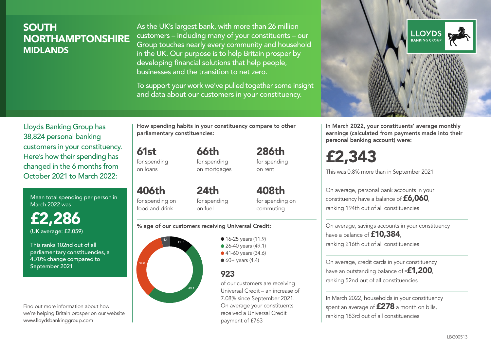### **SOUTH** NORTHAMPTONSHIRE MIDI ANDS

As the UK's largest bank, with more than 26 million customers – including many of your constituents – our Group touches nearly every community and household in the UK. Our purpose is to help Britain prosper by developing financial solutions that help people, businesses and the transition to net zero.

To support your work we've pulled together some insight and data about our customers in your constituency.



Mean total spending per person in March 2022 was

£2,286 (UK average: £2,059)

This ranks 102nd out of all parliamentary constituencies, a 4.70% change compared to September 2021

Find out more information about how we're helping Britain prosper on our website www.lloydsbankinggroup.com

How spending habits in your constituency compare to other parliamentary constituencies:

> 66th for spending

for spending

61st

on loans

406th

on mortgages  $24<sub>th</sub>$ 

for spending on food and drink for spending on fuel

for spending on commuting

408th

286th for spending on rent

#### % age of our customers receiving Universal Credit:



• 16-25 years (11.9) ● 26-40 years (49.1) ● 41-60 years (34.6)  $60+$  years (4.4)

### 923

of our customers are receiving Universal Credit – an increase of 7.08% since September 2021. On average your constituents received a Universal Credit payment of £763



In March 2022, your constituents' average monthly earnings (calculated from payments made into their personal banking account) were:

£2,343

This was 0.8% more than in September 2021

On average, personal bank accounts in your constituency have a balance of £6,060, ranking 194th out of all constituencies

On average, savings accounts in your constituency have a balance of **£10,384**. ranking 216th out of all constituencies

On average, credit cards in your constituency have an outstanding balance of **-£1,200** ranking 52nd out of all constituencies

In March 2022, households in your constituency spent an average of £278 a month on bills, ranking 183rd out of all constituencies